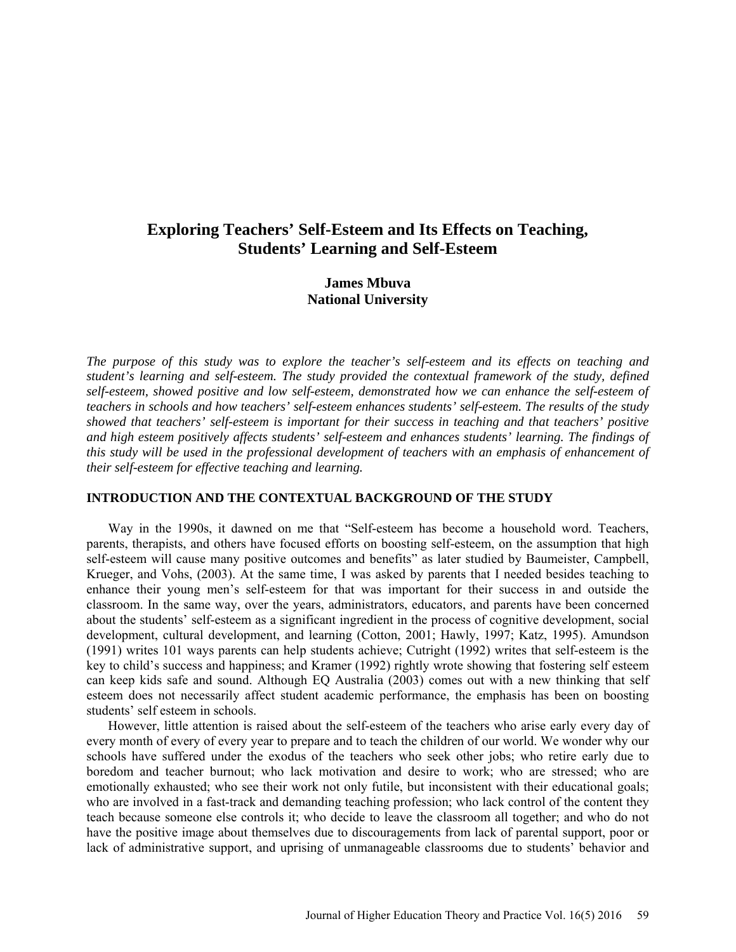# **Exploring Teachers' Self-Esteem and Its Effects on Teaching, Students' Learning and Self-Esteem**

# **James Mbuva National University**

*The purpose of this study was to explore the teacher's self-esteem and its effects on teaching and student's learning and self-esteem. The study provided the contextual framework of the study, defined self-esteem, showed positive and low self-esteem, demonstrated how we can enhance the self-esteem of teachers in schools and how teachers' self-esteem enhances students' self-esteem. The results of the study showed that teachers' self-esteem is important for their success in teaching and that teachers' positive and high esteem positively affects students' self-esteem and enhances students' learning. The findings of this study will be used in the professional development of teachers with an emphasis of enhancement of their self-esteem for effective teaching and learning.* 

### **INTRODUCTION AND THE CONTEXTUAL BACKGROUND OF THE STUDY**

Way in the 1990s, it dawned on me that "Self-esteem has become a household word. Teachers, parents, therapists, and others have focused efforts on boosting self-esteem, on the assumption that high self-esteem will cause many positive outcomes and benefits" as later studied by Baumeister, Campbell, Krueger, and Vohs, (2003). At the same time, I was asked by parents that I needed besides teaching to enhance their young men's self-esteem for that was important for their success in and outside the classroom. In the same way, over the years, administrators, educators, and parents have been concerned about the students' self-esteem as a significant ingredient in the process of cognitive development, social development, cultural development, and learning (Cotton, 2001; Hawly, 1997; Katz, 1995). Amundson (1991) writes 101 ways parents can help students achieve; Cutright (1992) writes that self-esteem is the key to child's success and happiness; and Kramer (1992) rightly wrote showing that fostering self esteem can keep kids safe and sound. Although EQ Australia (2003) comes out with a new thinking that self esteem does not necessarily affect student academic performance, the emphasis has been on boosting students' self esteem in schools.

However, little attention is raised about the self-esteem of the teachers who arise early every day of every month of every of every year to prepare and to teach the children of our world. We wonder why our schools have suffered under the exodus of the teachers who seek other jobs; who retire early due to boredom and teacher burnout; who lack motivation and desire to work; who are stressed; who are emotionally exhausted; who see their work not only futile, but inconsistent with their educational goals; who are involved in a fast-track and demanding teaching profession; who lack control of the content they teach because someone else controls it; who decide to leave the classroom all together; and who do not have the positive image about themselves due to discouragements from lack of parental support, poor or lack of administrative support, and uprising of unmanageable classrooms due to students' behavior and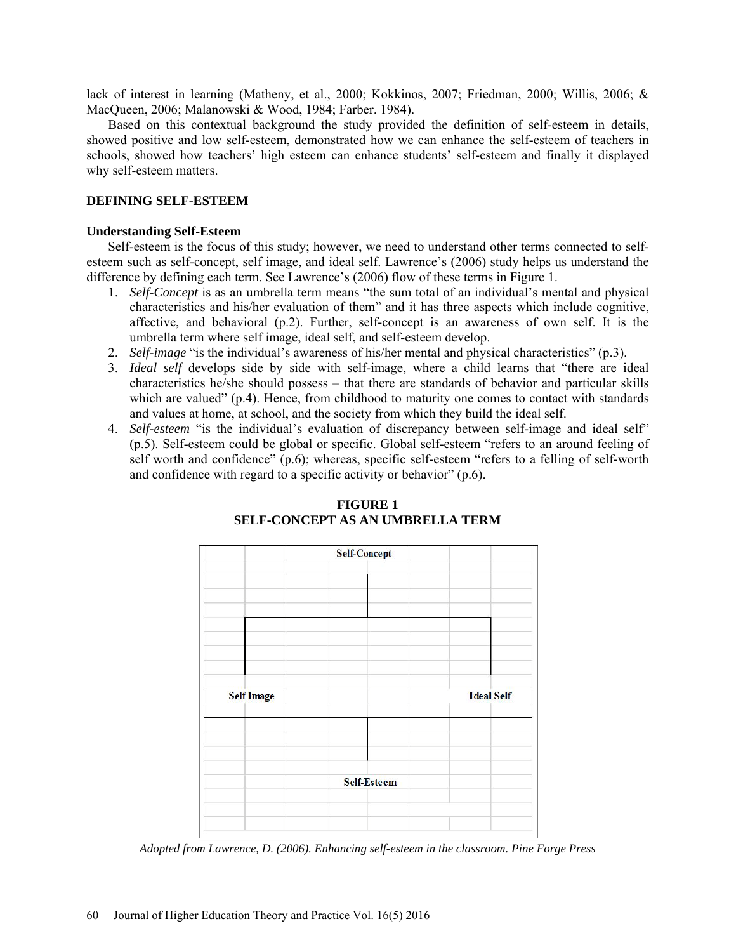lack of interest in learning (Matheny, et al., 2000; Kokkinos, 2007; Friedman, 2000; Willis, 2006; & MacQueen, 2006; Malanowski & Wood, 1984; Farber. 1984).

Based on this contextual background the study provided the definition of self-esteem in details, showed positive and low self-esteem, demonstrated how we can enhance the self-esteem of teachers in schools, showed how teachers' high esteem can enhance students' self-esteem and finally it displayed why self-esteem matters.

#### **DEFINING SELF-ESTEEM**

#### **Understanding Self-Esteem**

Self-esteem is the focus of this study; however, we need to understand other terms connected to selfesteem such as self-concept, self image, and ideal self. Lawrence's (2006) study helps us understand the difference by defining each term. See Lawrence's (2006) flow of these terms in Figure 1.

- 1. *Self-Concept* is as an umbrella term means "the sum total of an individual's mental and physical characteristics and his/her evaluation of them" and it has three aspects which include cognitive, affective, and behavioral (p.2). Further, self-concept is an awareness of own self. It is the umbrella term where self image, ideal self, and self-esteem develop.
- 2. *Self-image* "is the individual's awareness of his/her mental and physical characteristics" (p.3).
- 3. *Ideal self* develops side by side with self-image, where a child learns that "there are ideal characteristics he/she should possess – that there are standards of behavior and particular skills which are valued" (p.4). Hence, from childhood to maturity one comes to contact with standards and values at home, at school, and the society from which they build the ideal self.
- 4. *Self-esteem* "is the individual's evaluation of discrepancy between self-image and ideal self" (p.5). Self-esteem could be global or specific. Global self-esteem "refers to an around feeling of self worth and confidence" (p.6); whereas, specific self-esteem "refers to a felling of self-worth and confidence with regard to a specific activity or behavior" (p.6).



# **FIGURE 1 SELF-CONCEPT AS AN UMBRELLA TERM**

*Adopted from Lawrence, D. (2006). Enhancing self-esteem in the classroom. Pine Forge Press*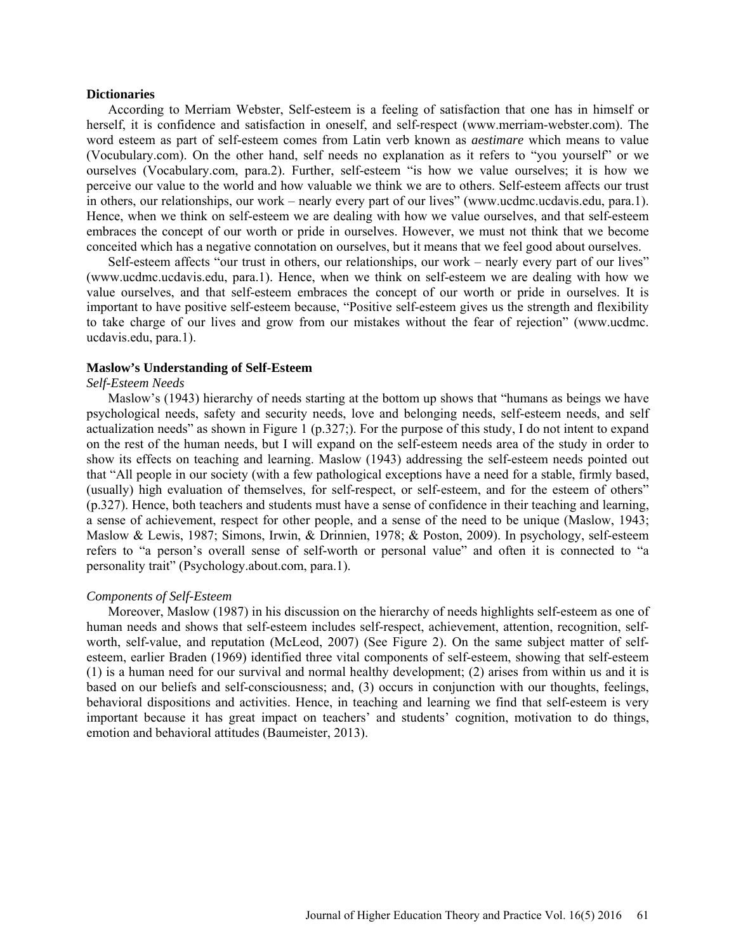#### **Dictionaries**

According to Merriam Webster, Self-esteem is a feeling of satisfaction that one has in himself or herself, it is confidence and satisfaction in oneself, and self-respect [\(www.merriam-webster.com\)](http://www.merriam-webster.com/). The word esteem as part of self-esteem comes from Latin verb known as *aestimare* which means to value (Vocubulary.com). On the other hand, self needs no explanation as it refers to "you yourself" or we ourselves (Vocabulary.com, para.2). Further, self-esteem "is how we value ourselves; it is how we perceive our value to the world and how valuable we think we are to others. Self-esteem affects our trust in others, our relationships, our work – nearly every part of our lives" [\(www.ucdmc.ucdavis.edu,](http://www.ucdmc.ucdavis.edu/) para.1). Hence, when we think on self-esteem we are dealing with how we value ourselves, and that self-esteem embraces the concept of our worth or pride in ourselves. However, we must not think that we become conceited which has a negative connotation on ourselves, but it means that we feel good about ourselves.

Self-esteem affects "our trust in others, our relationships, our work – nearly every part of our lives" [\(www.ucdmc.ucdavis.edu,](http://www.ucdmc.ucdavis.edu/) para.1). Hence, when we think on self-esteem we are dealing with how we value ourselves, and that self-esteem embraces the concept of our worth or pride in ourselves. It is important to have positive self-esteem because, "Positive self-esteem gives us the strength and flexibility to take charge of our lives and grow from our mistakes without the fear of rejection" (www.ucdmc. ucdavis.edu, para.1).

#### **Maslow's Understanding of Self-Esteem**

#### *Self-Esteem Needs*

Maslow's (1943) hierarchy of needs starting at the bottom up shows that "humans as beings we have psychological needs, safety and security needs, love and belonging needs, self-esteem needs, and self actualization needs" as shown in Figure 1 (p.327;). For the purpose of this study, I do not intent to expand on the rest of the human needs, but I will expand on the self-esteem needs area of the study in order to show its effects on teaching and learning. Maslow (1943) addressing the self-esteem needs pointed out that "All people in our society (with a few pathological exceptions have a need for a stable, firmly based, (usually) high evaluation of themselves, for self-respect, or self-esteem, and for the esteem of others" (p.327). Hence, both teachers and students must have a sense of confidence in their teaching and learning, a sense of achievement, respect for other people, and a sense of the need to be unique (Maslow, 1943; Maslow & Lewis, 1987; Simons, Irwin, & Drinnien, 1978; & Poston, 2009). In psychology, self-esteem refers to "a person's overall sense of self-worth or personal value" and often it is connected to "a personality trait" (Psychology.about.com, para.1).

#### *Components of Self-Esteem*

Moreover, Maslow (1987) in his discussion on the hierarchy of needs highlights self-esteem as one of human needs and shows that self-esteem includes self-respect, achievement, attention, recognition, selfworth, self-value, and reputation (McLeod, 2007) (See Figure 2). On the same subject matter of selfesteem, earlier Braden (1969) identified three vital components of self-esteem, showing that self-esteem (1) is a human need for our survival and normal healthy development; (2) arises from within us and it is based on our beliefs and self-consciousness; and, (3) occurs in conjunction with our thoughts, feelings, behavioral dispositions and activities. Hence, in teaching and learning we find that self-esteem is very important because it has great impact on teachers' and students' cognition, motivation to do things, emotion and behavioral attitudes (Baumeister, 2013).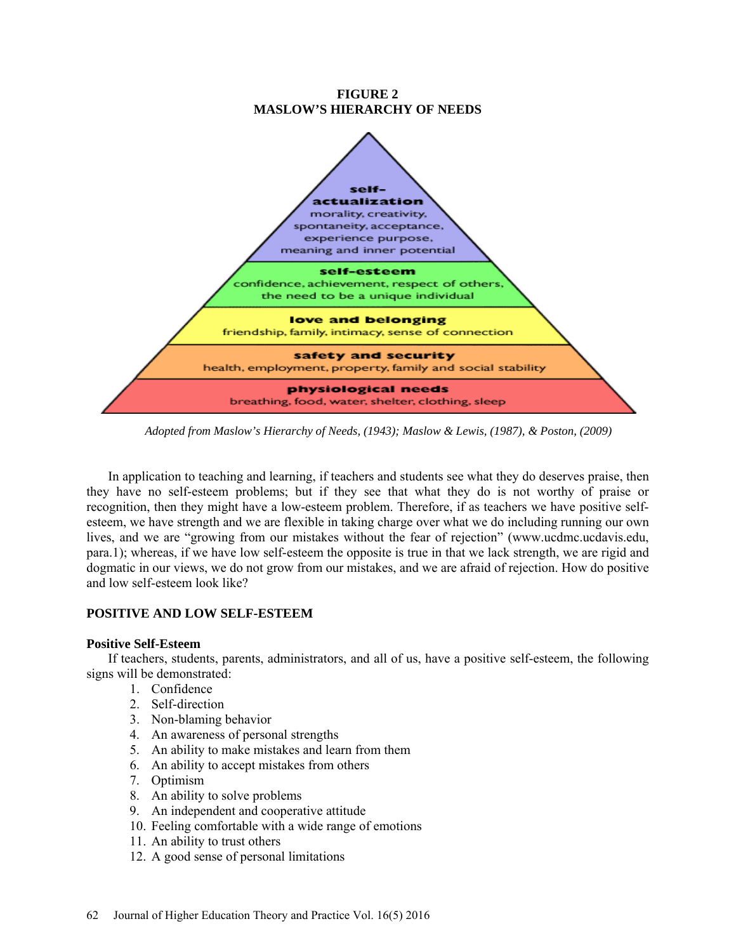

*Adopted from Maslow's Hierarchy of Needs, (1943); Maslow & Lewis, (1987), & Poston, (2009)*

In application to teaching and learning, if teachers and students see what they do deserves praise, then they have no self-esteem problems; but if they see that what they do is not worthy of praise or recognition, then they might have a low-esteem problem. Therefore, if as teachers we have positive selfesteem, we have strength and we are flexible in taking charge over what we do including running our own lives, and we are "growing from our mistakes without the fear of rejection" [\(www.ucdmc.ucdavis.edu,](http://www.ucdmc.ucdavis.edu/)  para.1); whereas, if we have low self-esteem the opposite is true in that we lack strength, we are rigid and dogmatic in our views, we do not grow from our mistakes, and we are afraid of rejection. How do positive and low self-esteem look like?

# **POSITIVE AND LOW SELF-ESTEEM**

# **Positive Self-Esteem**

If teachers, students, parents, administrators, and all of us, have a positive self-esteem, the following signs will be demonstrated:

- 1. Confidence
- 2. Self-direction
- 3. Non-blaming behavior
- 4. An awareness of personal strengths
- 5. An ability to make mistakes and learn from them
- 6. An ability to accept mistakes from others
- 7. Optimism
- 8. An ability to solve problems
- 9. An independent and cooperative attitude
- 10. Feeling comfortable with a wide range of emotions
- 11. An ability to trust others
- 12. A good sense of personal limitations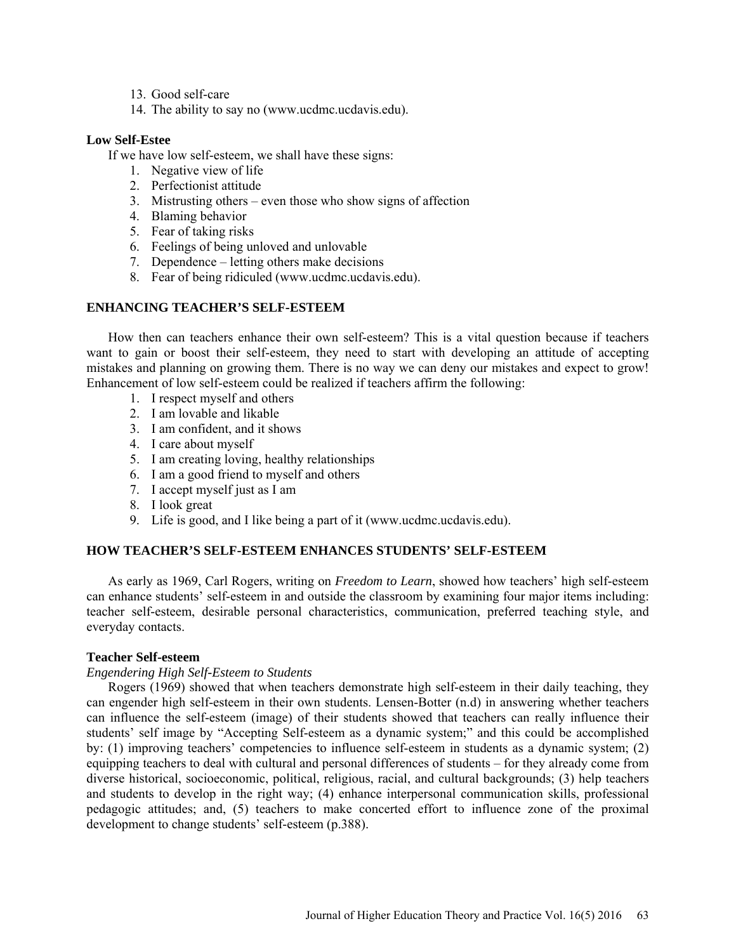- 13. Good self-care
- 14. The ability to say no [\(www.ucdmc.ucdavis.edu\)](http://www.ucdmc.ucdavis.edu/).

# **Low Self-Estee**

If we have low self-esteem, we shall have these signs:

- 1. Negative view of life
- 2. Perfectionist attitude
- 3. Mistrusting others even those who show signs of affection
- 4. Blaming behavior
- 5. Fear of taking risks
- 6. Feelings of being unloved and unlovable
- 7. Dependence letting others make decisions
- 8. Fear of being ridiculed [\(www.ucdmc.ucdavis.edu\)](http://www.ucdmc.ucdavis.edu/).

# **ENHANCING TEACHER'S SELF-ESTEEM**

How then can teachers enhance their own self-esteem? This is a vital question because if teachers want to gain or boost their self-esteem, they need to start with developing an attitude of accepting mistakes and planning on growing them. There is no way we can deny our mistakes and expect to grow! Enhancement of low self-esteem could be realized if teachers affirm the following:

- 1. I respect myself and others
- 2. I am lovable and likable
- 3. I am confident, and it shows
- 4. I care about myself
- 5. I am creating loving, healthy relationships
- 6. I am a good friend to myself and others
- 7. I accept myself just as I am
- 8. I look great
- 9. Life is good, and I like being a part of it [\(www.ucdmc.ucdavis.edu\)](http://www.ucdmc.ucdavis.edu/).

# **HOW TEACHER'S SELF-ESTEEM ENHANCES STUDENTS' SELF-ESTEEM**

As early as 1969, Carl Rogers, writing on *Freedom to Learn*, showed how teachers' high self-esteem can enhance students' self-esteem in and outside the classroom by examining four major items including: teacher self-esteem, desirable personal characteristics, communication, preferred teaching style, and everyday contacts.

# **Teacher Self-esteem**

# *Engendering High Self-Esteem to Students*

Rogers (1969) showed that when teachers demonstrate high self-esteem in their daily teaching, they can engender high self-esteem in their own students. Lensen-Botter (n.d) in answering whether teachers can influence the self-esteem (image) of their students showed that teachers can really influence their students' self image by "Accepting Self-esteem as a dynamic system;" and this could be accomplished by: (1) improving teachers' competencies to influence self-esteem in students as a dynamic system; (2) equipping teachers to deal with cultural and personal differences of students – for they already come from diverse historical, socioeconomic, political, religious, racial, and cultural backgrounds; (3) help teachers and students to develop in the right way; (4) enhance interpersonal communication skills, professional pedagogic attitudes; and, (5) teachers to make concerted effort to influence zone of the proximal development to change students' self-esteem (p.388).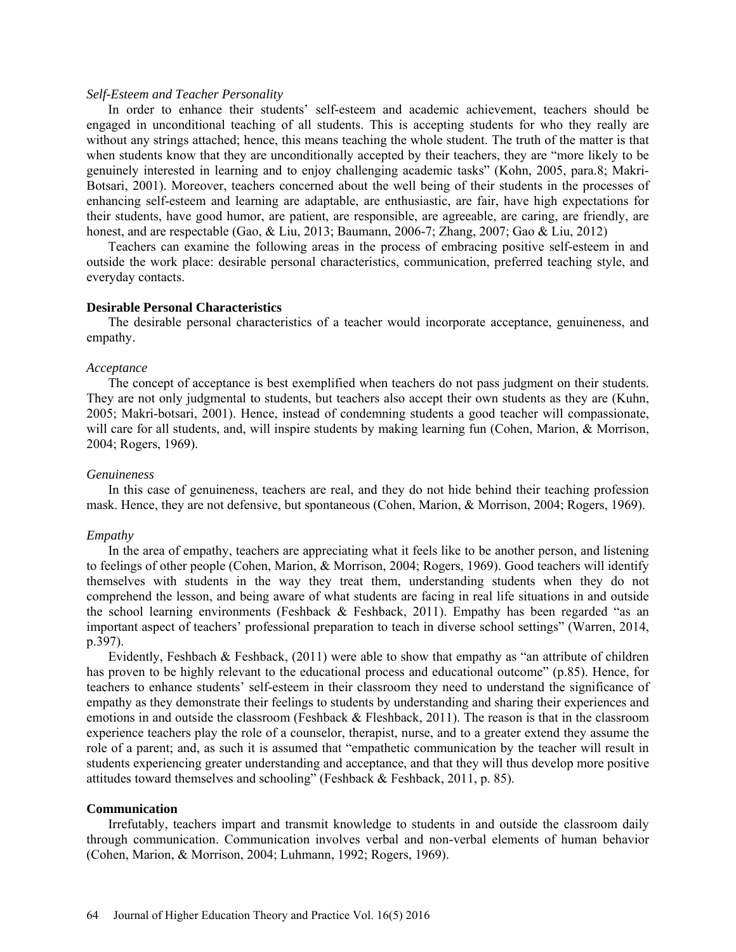#### *Self-Esteem and Teacher Personality*

In order to enhance their students' self-esteem and academic achievement, teachers should be engaged in unconditional teaching of all students. This is accepting students for who they really are without any strings attached; hence, this means teaching the whole student. The truth of the matter is that when students know that they are unconditionally accepted by their teachers, they are "more likely to be genuinely interested in learning and to enjoy challenging academic tasks" (Kohn, 2005, para.8; Makri-Botsari, 2001). Moreover, teachers concerned about the well being of their students in the processes of enhancing self-esteem and learning are adaptable, are enthusiastic, are fair, have high expectations for their students, have good humor, are patient, are responsible, are agreeable, are caring, are friendly, are honest, and are respectable (Gao, & Liu, 2013; Baumann, 2006-7; Zhang, 2007; Gao & Liu, 2012)

Teachers can examine the following areas in the process of embracing positive self-esteem in and outside the work place: desirable personal characteristics, communication, preferred teaching style, and everyday contacts.

#### **Desirable Personal Characteristics**

The desirable personal characteristics of a teacher would incorporate acceptance, genuineness, and empathy.

#### *Acceptance*

The concept of acceptance is best exemplified when teachers do not pass judgment on their students. They are not only judgmental to students, but teachers also accept their own students as they are (Kuhn, 2005; Makri-botsari, 2001). Hence, instead of condemning students a good teacher will compassionate, will care for all students, and, will inspire students by making learning fun (Cohen, Marion, & Morrison, 2004; Rogers, 1969).

#### *Genuineness*

In this case of genuineness, teachers are real, and they do not hide behind their teaching profession mask. Hence, they are not defensive, but spontaneous (Cohen, Marion, & Morrison, 2004; Rogers, 1969).

#### *Empathy*

In the area of empathy, teachers are appreciating what it feels like to be another person, and listening to feelings of other people (Cohen, Marion, & Morrison, 2004; Rogers, 1969). Good teachers will identify themselves with students in the way they treat them, understanding students when they do not comprehend the lesson, and being aware of what students are facing in real life situations in and outside the school learning environments (Feshback  $\&$  Feshback, 2011). Empathy has been regarded "as an important aspect of teachers' professional preparation to teach in diverse school settings" (Warren, 2014, p.397).

Evidently, Feshbach & Feshback, (2011) were able to show that empathy as "an attribute of children has proven to be highly relevant to the educational process and educational outcome" (p.85). Hence, for teachers to enhance students' self-esteem in their classroom they need to understand the significance of empathy as they demonstrate their feelings to students by understanding and sharing their experiences and emotions in and outside the classroom (Feshback & Fleshback, 2011). The reason is that in the classroom experience teachers play the role of a counselor, therapist, nurse, and to a greater extend they assume the role of a parent; and, as such it is assumed that "empathetic communication by the teacher will result in students experiencing greater understanding and acceptance, and that they will thus develop more positive attitudes toward themselves and schooling" (Feshback & Feshback, 2011, p. 85).

#### **Communication**

Irrefutably, teachers impart and transmit knowledge to students in and outside the classroom daily through communication. Communication involves verbal and non-verbal elements of human behavior (Cohen, Marion, & Morrison, 2004; Luhmann, 1992; Rogers, 1969).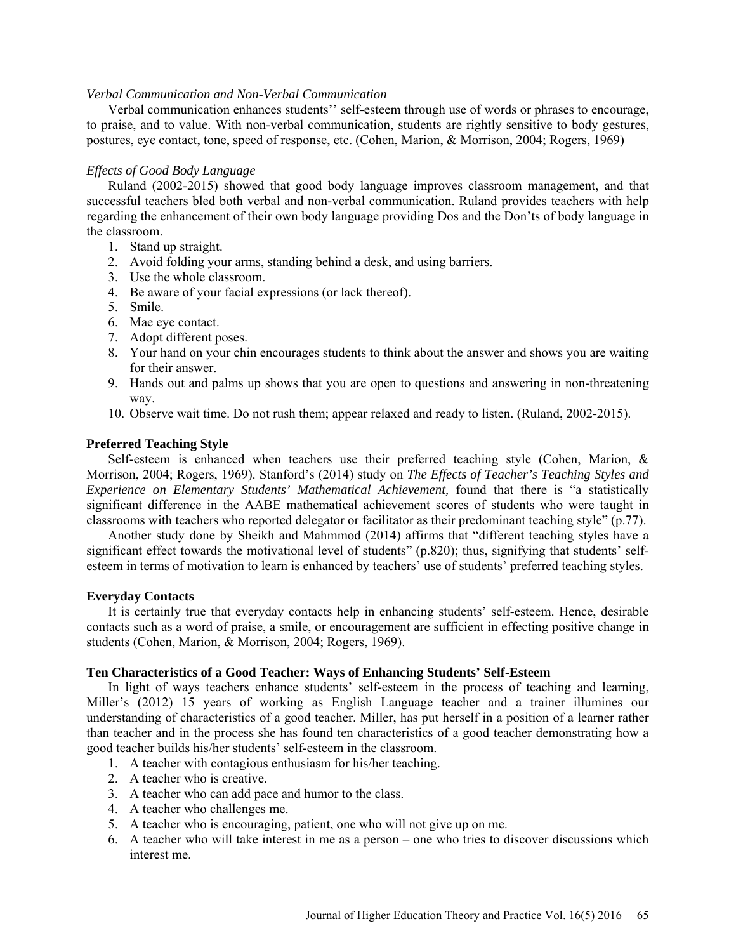### *Verbal Communication and Non-Verbal Communication*

Verbal communication enhances students'' self-esteem through use of words or phrases to encourage, to praise, and to value. With non-verbal communication, students are rightly sensitive to body gestures, postures, eye contact, tone, speed of response, etc. (Cohen, Marion, & Morrison, 2004; Rogers, 1969)

### *Effects of Good Body Language*

Ruland (2002-2015) showed that good body language improves classroom management, and that successful teachers bled both verbal and non-verbal communication. Ruland provides teachers with help regarding the enhancement of their own body language providing Dos and the Don'ts of body language in the classroom.

- 1. Stand up straight.
- 2. Avoid folding your arms, standing behind a desk, and using barriers.
- 3. Use the whole classroom.
- 4. Be aware of your facial expressions (or lack thereof).
- 5. Smile.
- 6. Mae eye contact.
- 7. Adopt different poses.
- 8. Your hand on your chin encourages students to think about the answer and shows you are waiting for their answer.
- 9. Hands out and palms up shows that you are open to questions and answering in non-threatening way.
- 10. Observe wait time. Do not rush them; appear relaxed and ready to listen. (Ruland, 2002-2015).

### **Preferred Teaching Style**

Self-esteem is enhanced when teachers use their preferred teaching style (Cohen, Marion, & Morrison, 2004; Rogers, 1969). Stanford's (2014) study on *The Effects of Teacher's Teaching Styles and Experience on Elementary Students' Mathematical Achievement,* found that there is "a statistically significant difference in the AABE mathematical achievement scores of students who were taught in classrooms with teachers who reported delegator or facilitator as their predominant teaching style" (p.77).

Another study done by Sheikh and Mahmmod (2014) affirms that "different teaching styles have a significant effect towards the motivational level of students" (p.820); thus, signifying that students' selfesteem in terms of motivation to learn is enhanced by teachers' use of students' preferred teaching styles.

# **Everyday Contacts**

It is certainly true that everyday contacts help in enhancing students' self-esteem. Hence, desirable contacts such as a word of praise, a smile, or encouragement are sufficient in effecting positive change in students (Cohen, Marion, & Morrison, 2004; Rogers, 1969).

#### **Ten Characteristics of a Good Teacher: Ways of Enhancing Students' Self-Esteem**

In light of ways teachers enhance students' self-esteem in the process of teaching and learning, Miller's (2012) 15 years of working as English Language teacher and a trainer illumines our understanding of characteristics of a good teacher. Miller, has put herself in a position of a learner rather than teacher and in the process she has found ten characteristics of a good teacher demonstrating how a good teacher builds his/her students' self-esteem in the classroom.

- 1. A teacher with contagious enthusiasm for his/her teaching.
- 2. A teacher who is creative.
- 3. A teacher who can add pace and humor to the class.
- 4. A teacher who challenges me.
- 5. A teacher who is encouraging, patient, one who will not give up on me.
- 6. A teacher who will take interest in me as a person one who tries to discover discussions which interest me.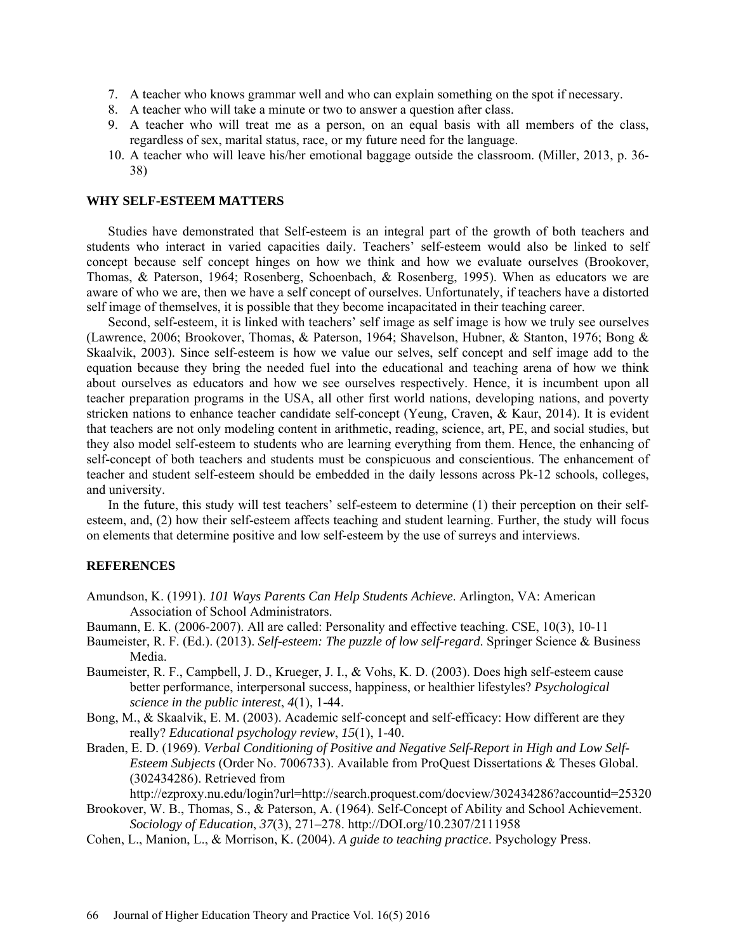- 7. A teacher who knows grammar well and who can explain something on the spot if necessary.
- 8. A teacher who will take a minute or two to answer a question after class.
- 9. A teacher who will treat me as a person, on an equal basis with all members of the class, regardless of sex, marital status, race, or my future need for the language.
- 10. A teacher who will leave his/her emotional baggage outside the classroom. (Miller, 2013, p. 36- 38)

#### **WHY SELF-ESTEEM MATTERS**

Studies have demonstrated that Self-esteem is an integral part of the growth of both teachers and students who interact in varied capacities daily. Teachers' self-esteem would also be linked to self concept because self concept hinges on how we think and how we evaluate ourselves (Brookover, Thomas, & Paterson, 1964; Rosenberg, Schoenbach, & Rosenberg, 1995). When as educators we are aware of who we are, then we have a self concept of ourselves. Unfortunately, if teachers have a distorted self image of themselves, it is possible that they become incapacitated in their teaching career.

Second, self-esteem, it is linked with teachers' self image as self image is how we truly see ourselves (Lawrence, 2006; Brookover, Thomas, & Paterson, 1964; Shavelson, Hubner, & Stanton, 1976; Bong & Skaalvik, 2003). Since self-esteem is how we value our selves, self concept and self image add to the equation because they bring the needed fuel into the educational and teaching arena of how we think about ourselves as educators and how we see ourselves respectively. Hence, it is incumbent upon all teacher preparation programs in the USA, all other first world nations, developing nations, and poverty stricken nations to enhance teacher candidate self-concept (Yeung, Craven, & Kaur, 2014). It is evident that teachers are not only modeling content in arithmetic, reading, science, art, PE, and social studies, but they also model self-esteem to students who are learning everything from them. Hence, the enhancing of self-concept of both teachers and students must be conspicuous and conscientious. The enhancement of teacher and student self-esteem should be embedded in the daily lessons across Pk-12 schools, colleges, and university.

In the future, this study will test teachers' self-esteem to determine (1) their perception on their selfesteem, and, (2) how their self-esteem affects teaching and student learning. Further, the study will focus on elements that determine positive and low self-esteem by the use of surreys and interviews.

### **REFERENCES**

- Amundson, K. (1991). *101 Ways Parents Can Help Students Achieve*. Arlington, VA: American Association of School Administrators.
- Baumann, E. K. (2006-2007). All are called: Personality and effective teaching. CSE, 10(3), 10-11
- Baumeister, R. F. (Ed.). (2013). *Self-esteem: The puzzle of low self-regard*. Springer Science & Business Media.
- Baumeister, R. F., Campbell, J. D., Krueger, J. I., & Vohs, K. D. (2003). Does high self-esteem cause better performance, interpersonal success, happiness, or healthier lifestyles? *Psychological science in the public interest*, *4*(1), 1-44.
- Bong, M., & Skaalvik, E. M. (2003). Academic self-concept and self-efficacy: How different are they really? *Educational psychology review*, *15*(1), 1-40.
- Braden, E. D. (1969). *Verbal Conditioning of Positive and Negative Self-Report in High and Low Self-Esteem Subjects* (Order No. 7006733). Available from ProQuest Dissertations & Theses Global. (302434286). Retrieved from

http://ezproxy.nu.edu/login?url=http://search.proquest.com/docview/302434286?accountid=25320

- Brookover, W. B., Thomas, S., & Paterson, A. (1964). Self-Concept of Ability and School Achievement. *Sociology of Education*, *37*(3), 271–278. [http://DOI.org/10.2307/2111958](http://doi.org/10.2307/2111958)
- Cohen, L., Manion, L., & Morrison, K. (2004). *A guide to teaching practice*. Psychology Press.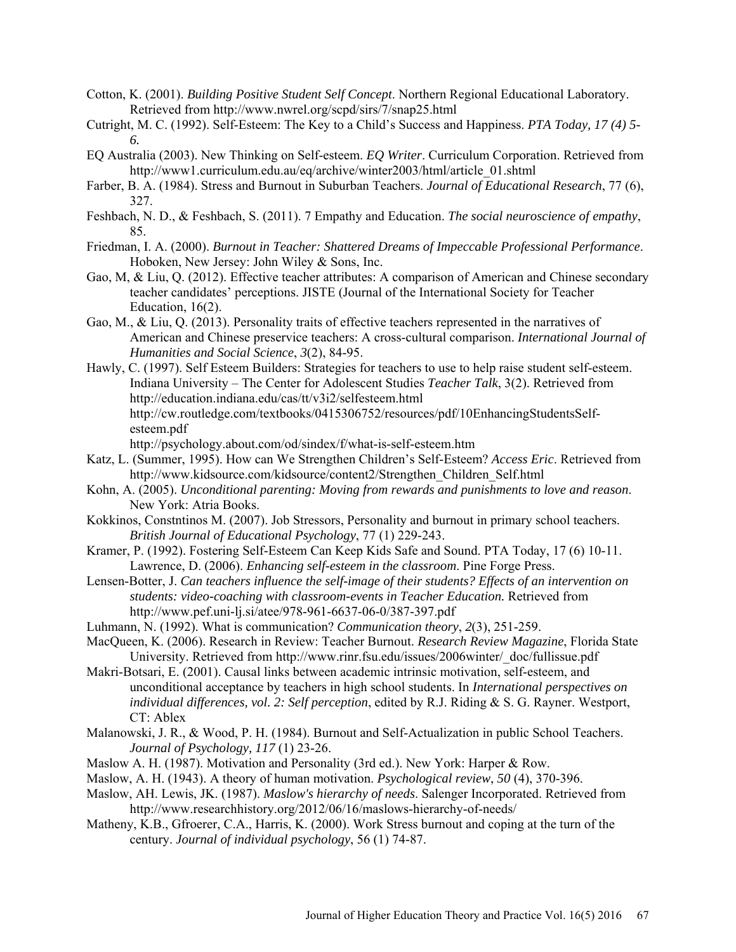- Cotton, K. (2001). *Building Positive Student Self Concept*. Northern Regional Educational Laboratory. Retrieved from<http://www.nwrel.org/scpd/sirs/7/snap25.html>
- Cutright, M. C. (1992). Self-Esteem: The Key to a Child's Success and Happiness. *PTA Today, 17 (4) 5- 6.*
- EQ Australia (2003). New Thinking on Self-esteem. *EQ Writer*. Curriculum Corporation. Retrieved from [http://www1.curriculum.edu.au/eq/archive/winter2003/html/article\\_01.shtml](http://www1.curriculum.edu.au/eq/archive/winter2003/html/article_01.shtml)
- Farber, B. A. (1984). Stress and Burnout in Suburban Teachers. *Journal of Educational Research*, 77 (6), 327.
- Feshbach, N. D., & Feshbach, S. (2011). 7 Empathy and Education. *The social neuroscience of empathy*, 85.
- Friedman, I. A. (2000). *Burnout in Teacher: Shattered Dreams of Impeccable Professional Performance*. Hoboken, New Jersey: John Wiley & Sons, Inc.
- Gao, M, & Liu, Q. (2012). Effective teacher attributes: A comparison of American and Chinese secondary teacher candidates' perceptions. JISTE (Journal of the International Society for Teacher Education, 16(2).
- Gao, M., & Liu, Q. (2013). Personality traits of effective teachers represented in the narratives of American and Chinese preservice teachers: A cross-cultural comparison. *International Journal of Humanities and Social Science*, *3*(2), 84-95.
- Hawly, C. (1997). Self Esteem Builders: Strategies for teachers to use to help raise student self-esteem. Indiana University – The Center for Adolescent Studies *Teacher Talk*, 3(2). Retrieved from <http://education.indiana.edu/cas/tt/v3i2/selfesteem.html> [http://cw.routledge.com/textbooks/0415306752/resources/pdf/10EnhancingStudentsSelf](http://cw.routledge.com/textbooks/0415306752/resources/pdf/10EnhancingStudentsSelf-esteem.pdf)[esteem.pdf](http://cw.routledge.com/textbooks/0415306752/resources/pdf/10EnhancingStudentsSelf-esteem.pdf)

<http://psychology.about.com/od/sindex/f/what-is-self-esteem.htm>

- Katz, L. (Summer, 1995). How can We Strengthen Children's Self-Esteem? *Access Eric*. Retrieved from [http://www.kidsource.com/kidsource/content2/Strengthen\\_Children\\_Self.html](http://www.kidsource.com/kidsource/content2/Strengthen_Children_Self.html)
- Kohn, A. (2005). *[Unconditional parenting:](http://www.alfiekohn.org/UP/) Moving from rewards and punishments to love and reason*. New York: Atria Books.
- Kokkinos, Constntinos M. (2007). Job Stressors, Personality and burnout in primary school teachers. *British Journal of Educational Psychology*, 77 (1) 229-243.
- Kramer, P. (1992). Fostering Self-Esteem Can Keep Kids Safe and Sound. PTA Today, 17 (6) 10-11. Lawrence, D. (2006). *Enhancing self-esteem in the classroom*. Pine Forge Press.
- Lensen-Botter, J. *Can teachers influence the self-image of their students? Effects of an intervention on students: video-coaching with classroom-events in Teacher Education.* Retrieved from <http://www.pef.uni-lj.si/atee/978-961-6637-06-0/387-397.pdf>
- Luhmann, N. (1992). What is communication? *Communication theory*, *2*(3), 251-259.
- MacQueen, K. (2006). Research in Review: Teacher Burnout. *Research Review Magazine*, Florida State University. Retrieved from http://www.rinr.fsu.edu/issues/2006winter/\_doc/fullissue.pdf
- Makri-Botsari, E. (2001). Causal links between academic intrinsic motivation, self-esteem, and unconditional acceptance by teachers in high school students. In *International perspectives on individual differences, vol. 2: Self perception*, edited by R.J. Riding & S. G. Rayner. Westport, CT: Ablex
- Malanowski, J. R., & Wood, P. H. (1984). Burnout and Self-Actualization in public School Teachers. *Journal of Psychology, 117* (1) 23-26.
- Maslow A. H. (1987). Motivation and Personality (3rd ed.). New York: Harper & Row.
- Maslow, A. H. (1943). A theory of human motivation. *Psychological review*, *50* (4), 370-396.
- Maslow, AH. Lewis, JK. (1987). *Maslow's hierarchy of needs*. Salenger Incorporated. Retrieved from <http://www.researchhistory.org/2012/06/16/maslows-hierarchy-of-needs/>
- Matheny, K.B., Gfroerer, C.A., Harris, K. (2000). Work Stress burnout and coping at the turn of the century. *Journal of individual psychology*, 56 (1) 74-87.